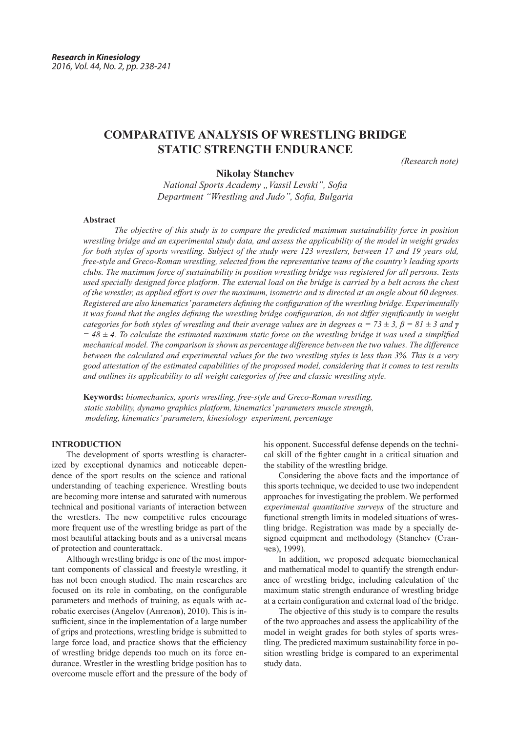# **COMPARATIVE ANALYSIS OF WRESTLING BRIDGE STATIC STRENGTH ENDURANCE**

*(Research note)*

#### **Nikolay Stanchev**

*National Sports Academy "Vassil Levski", Sofia Department "Wrestling and Judo", Sofia, Bulgaria*

#### **Abstract**

*The objective of this study is to compare the predicted maximum sustainability force in position wrestling bridge and an experimental study data, and assess the applicability of the model in weight grades for both styles of sports wrestling. Subject of the study were 123 wrestlers, between 17 and 19 years old, free-style and Greco-Roman wrestling, selected from the representative teams of the country's leading sports clubs. The maximum force of sustainability in position wrestling bridge was registered for all persons. Tests used specially designed force platform. The external load on the bridge is carried by a belt across the chest of the wrestler, as applied effort is over the maximum, isometric and is directed at an angle about 60 degrees. Registered are also kinematics' parameters defining the configuration of the wrestling bridge. Experimentally it was found that the angles defining the wrestling bridge configuration, do not differ significantly in weight categories for both styles of wrestling and their average values are in degrees*  $\alpha = 73 \pm 3$ *,*  $\beta = 81 \pm 3$  *and*  $\gamma$ *= 48 ± 4. To calculate the estimated maximum static force on the wrestling bridge it was used a simplified mechanical model. The comparison is shown as percentage difference between the two values. The difference between the calculated and experimental values for the two wrestling styles is less than 3%. This is a very good attestation of the estimated capabilities of the proposed model, considering that it comes to test results and outlines its applicability to all weight categories of free and classic wrestling style.*

**Keywords:** *biomechanics, sports wrestling, free-style and Greco-Roman wrestling, static stability, dynamo graphics platform, kinematics' parameters muscle strength, modeling, kinematics' parameters, kinesiology experiment, percentage*

### **INTRODUCTION**

The development of sports wrestling is characterized by exceptional dynamics and noticeable dependence of the sport results on the science and rational understanding of teaching experience. Wrestling bouts are becoming more intense and saturated with numerous technical and positional variants of interaction between the wrestlers. The new competitive rules encourage more frequent use of the wrestling bridge as part of the most beautiful attacking bouts and as a universal means of protection and counterattack.

Although wrestling bridge is one of the most important components of classical and freestyle wrestling, it has not been enough studied. The main researches are focused on its role in combating, on the configurable parameters and methods of training, as equals with acrobatic exercises (Angelov (Ангелов), 2010). This is insufficient, since in the implementation of a large number of grips and protections, wrestling bridge is submitted to large force load, and practice shows that the efficiency of wrestling bridge depends too much on its force endurance. Wrestler in the wrestling bridge position has to overcome muscle effort and the pressure of the body of his opponent. Successful defense depends on the technical skill of the fighter caught in a critical situation and the stability of the wrestling bridge.

Considering the above facts and the importance of this sports technique, we decided to use two independent approaches for investigating the problem. We performed *experimental quantitative surveys* of the structure and functional strength limits in modeled situations of wrestling bridge. Registration was made by a specially designed equipment and methodology (Stanchev (Станчев), 1999).

In addition, we proposed adequate biomechanical and mathematical model to quantify the strength endurance of wrestling bridge, including calculation of the maximum static strength endurance of wrestling bridge at a certain configuration and external load of the bridge.

The objective of this study is to compare the results of the two approaches and assess the applicability of the model in weight grades for both styles of sports wrestling. The predicted maximum sustainability force in position wrestling bridge is compared to an experimental study data.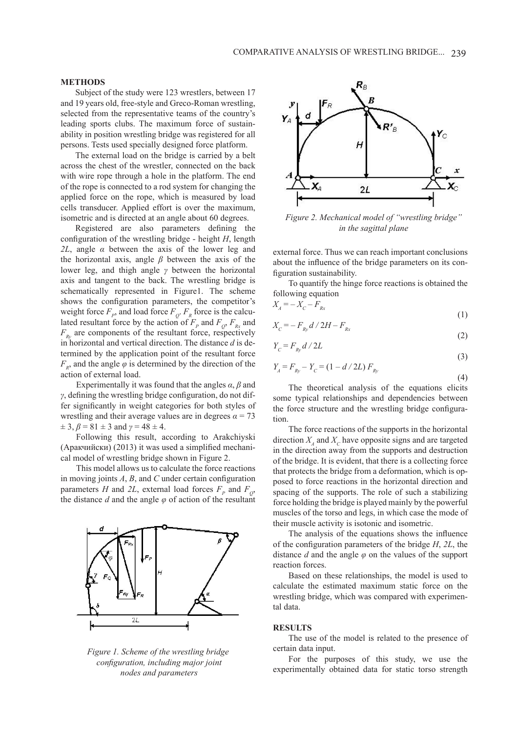#### **METHODS**

Subject of the study were 123 wrestlers, between 17 and 19 years old, free-style and Greco-Roman wrestling, selected from the representative teams of the country's leading sports clubs. The maximum force of sustainability in position wrestling bridge was registered for all persons. Tests used specially designed force platform.

The external load on the bridge is carried by a belt across the chest of the wrestler, connected on the back with wire rope through a hole in the platform. The end of the rope is connected to a rod system for changing the applied force on the rope, which is measured by load cells transducer. Applied effort is over the maximum, isometric and is directed at an angle about 60 degrees.

Registered are also parameters defining the configuration of the wrestling bridge - height *H*, length *2L*, angle *α* between the axis of the lower leg and the horizontal axis, angle *β* between the axis of the lower leg, and thigh angle *γ* between the horizontal axis and tangent to the back. The wrestling bridge is schematically represented in Figure1. The scheme shows the configuration parameters, the competitor's weight force  $F_p$ , and load force  $F_q$ .  $F_R$  force is the calculated resultant force by the action of  $F_p$  and  $F_q$ ,  $F_{Rx}$  and  $F_{Rv}$  are components of the resultant force, respectively in horizontal and vertical direction. The distance *d* is determined by the application point of the resultant force  $F<sub>p</sub>$ , and the angle  $\varphi$  is determined by the direction of the action of external load.

Experimentally it was found that the angles *α*, *β* and *γ*, defining the wrestling bridge configuration, do not differ significantly in weight categories for both styles of wrestling and their average values are in degrees  $\alpha = 73$  $\pm 3$ ,  $\beta = 81 \pm 3$  and  $\gamma = 48 \pm 4$ .

Following this result, according to Arakchiyski (Аракчийски) (2013) it was used a simplified mechanical model of wrestling bridge shown in Figure 2.

This model allows us to calculate the force reactions in moving joints *A*, *B*, and *C* under certain configuration parameters *H* and *2L*, external load forces  $F_p$  and  $F_q$ the distance *d* and the angle *φ* of action of the resultant



*Figure 1. Scheme of the wrestling bridge configuration, including major joint nodes and parameters*



*Figure 2. Mechanical model of "wrestling bridge" in the sagittal plane*

external force. Thus we can reach important conclusions about the influence of the bridge parameters on its configuration sustainability.

To quantify the hinge force reactions is obtained the following equation

$$
X_A = -X_C - F_{Rx} \tag{1}
$$

$$
X_C = -F_{Ry}d/2H - F_{Rx}
$$
\n(2)

$$
Y_C = F_{Ry} d / 2L
$$

 $(2)$ 

(4)

$$
Y_A = F_{R_y} - Y_C = (1 - d/2L) F_{R_y}
$$
\n(3)

The theoretical analysis of the equations elicits some typical relationships and dependencies between the force structure and the wrestling bridge configuration.

The force reactions of the supports in the horizontal direction  $X_A$  and  $X_C$  have opposite signs and are targeted in the direction away from the supports and destruction of the bridge. It is evident, that there is a collecting force that protects the bridge from a deformation, which is opposed to force reactions in the horizontal direction and spacing of the supports. The role of such a stabilizing force holding the bridge is played mainly by the powerful muscles of the torso and legs, in which case the mode of their muscle activity is isotonic and isometric.

The analysis of the equations shows the influence of the configuration parameters of the bridge *H*, *2L*, the distance *d* and the angle *φ* on the values of the support reaction forces.

Based on these relationships, the model is used to calculate the estimated maximum static force on the wrestling bridge, which was compared with experimental data.

#### **RESULTS**

The use of the model is related to the presence of certain data input.

For the purposes of this study, we use the experimentally obtained data for static torso strength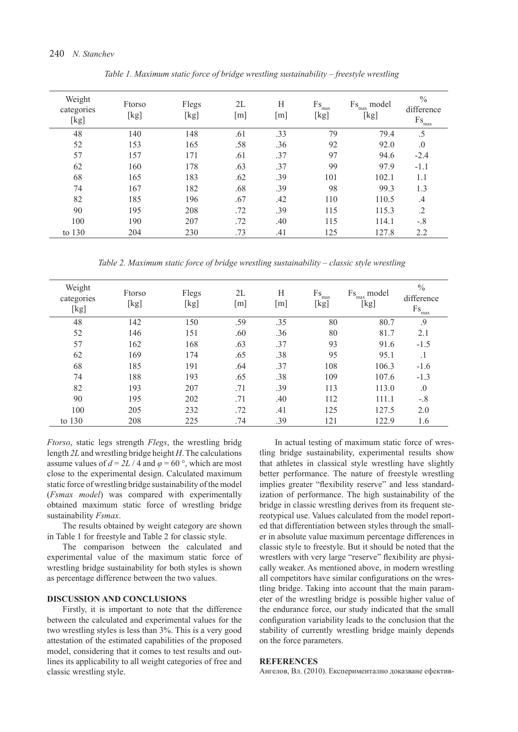| Weight<br>categories<br>[kg] | Ftorso<br>[kg] | Flegs<br>[kg] | 2L<br>[m] | Н<br>[m] | Fs.<br>max<br>[kg] | Fs.<br>model<br>max<br>[kg] | $\frac{0}{0}$<br>difference<br>Fs.<br>max |
|------------------------------|----------------|---------------|-----------|----------|--------------------|-----------------------------|-------------------------------------------|
| 48                           | 140            | 148           | .61       | .33      | 79                 | 79.4                        | .5                                        |
| 52                           | 153            | 165           | .58       | .36      | 92                 | 92.0                        | $\overline{0}$ .                          |
| 57                           | 157            | 171           | .61       | .37      | 97                 | 94.6                        | $-2.4$                                    |
| 62                           | 160            | 178           | .63       | .37      | 99                 | 97.9                        | $-1.1$                                    |
| 68                           | 165            | 183           | .62       | .39      | 101                | 102.1                       | 1.1                                       |
| 74                           | 167            | 182           | .68       | .39      | 98                 | 99.3                        | 1.3                                       |
| 82                           | 185            | 196           | .67       | .42      | 110                | 110.5                       | .4                                        |
| 90                           | 195            | 208           | .72       | .39      | 115                | 115.3                       | $\cdot$                                   |
| 100                          | 190            | 207           | .72       | .40      | 115                | 114.1                       | $-.8$                                     |
| to $130$                     | 204            | 230           | .73       | .41      | 125                | 127.8                       | 2.2                                       |

*Table 1. Maximum static force of bridge wrestling sustainability – freestyle wrestling*

*Table 2. Maximum static force of bridge wrestling sustainability – classic style wrestling*

| Weight<br>categories<br>[kg] | Ftorso<br>[kg] | Flegs<br>[kg] | 2L<br>[m] | Н<br>[m] | Fs.<br>max<br>[kg] | Fs<br>model<br>max<br>[kg] | $\frac{0}{0}$<br>difference<br>Fs<br>'max |
|------------------------------|----------------|---------------|-----------|----------|--------------------|----------------------------|-------------------------------------------|
| 48                           | 142            | 150           | .59       | .35      | 80                 | 80.7                       | .9                                        |
| 52                           | 146            | 151           | .60       | .36      | 80                 | 81.7                       | 2.1                                       |
| 57                           | 162            | 168           | .63       | .37      | 93                 | 91.6                       | $-1.5$                                    |
| 62                           | 169            | 174           | .65       | .38      | 95                 | 95.1                       |                                           |
| 68                           | 185            | 191           | .64       | .37      | 108                | 106.3                      | $-1.6$                                    |
| 74                           | 188            | 193           | .65       | .38      | 109                | 107.6                      | $-1.3$                                    |
| 82                           | 193            | 207           | .71       | .39      | 113                | 113.0                      | $\cdot$                                   |
| 90                           | 195            | 202           | .71       | .40      | 112                | 111.1                      | $-.8$                                     |
| 100                          | 205            | 232           | .72       | .41      | 125                | 127.5                      | 2.0                                       |
| to $130$                     | 208            | 225           | .74       | .39      | 121                | 122.9                      | 1.6                                       |

*Ftorso*, static legs strength *Flegs*, the wrestling bridg length *2L* and wrestling bridge height *H*. The calculations assume values of  $d = 2L / 4$  and  $\varphi = 60^\circ$ , which are most close to the experimental design. Calculated maximum static force of wrestling bridge sustainability of the model (*Fsmax model*) was compared with experimentally obtained maximum static force of wrestling bridge sustainability *Fsmax*.

The results obtained by weight category are shown in Table 1 for freestyle and Table 2 for classic style.

The comparison between the calculated and experimental value of the maximum static force of wrestling bridge sustainability for both styles is shown as percentage difference between the two values.

## **DISCUSSION AND CONCLUSIONS**

Firstly, it is important to note that the difference between the calculated and experimental values for the two wrestling styles is less than 3%. This is a very good attestation of the estimated capabilities of the proposed model, considering that it comes to test results and outlines its applicability to all weight categories of free and classic wrestling style.

In actual testing of maximum static force of wrestling bridge sustainability, experimental results show that athletes in classical style wrestling have slightly better performance. The nature of freestyle wrestling implies greater "flexibility reserve" and less standardization of performance. The high sustainability of the bridge in classic wrestling derives from its frequent stereotypical use. Values calculated from the model reported that differentiation between styles through the smaller in absolute value maximum percentage differences in classic style to freestyle. But it should be noted that the wrestlers with very large "reserve" flexibility are physically weaker. As mentioned above, in modern wrestling all competitors have similar configurations on the wrestling bridge. Taking into account that the main parameter of the wrestling bridge is possible higher value of the endurance force, our study indicated that the small configuration variability leads to the conclusion that the stability of currently wrestling bridge mainly depends on the force parameters.

## **REFERENCES**

Ангелов, Вл. (2010). Експериментално доказване ефектив-